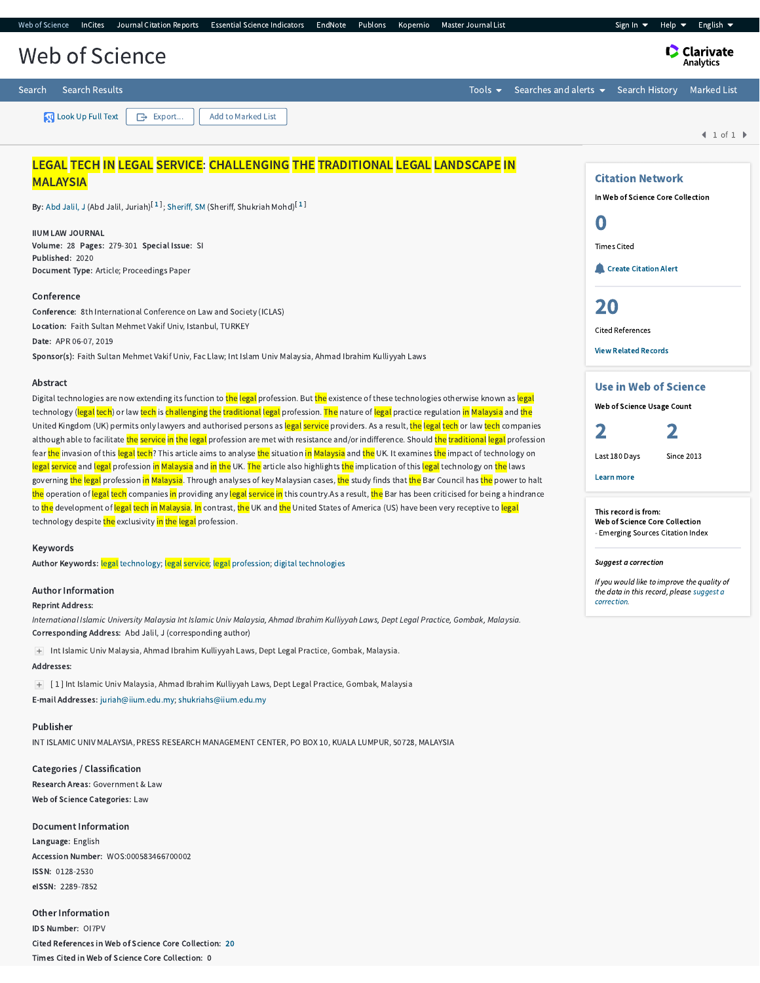| <b>Essential Science Indicators</b><br>Web of Science<br>InCites Journal Citation Reports<br>EndNote<br>Publons<br>Master Journal List<br>Kopernio                                                                                                                                                                                                                                                                                                             | English $\blacktriangleright$<br>Sign In $\blacktriangledown$<br>Help $\blacktriangledown$ |
|----------------------------------------------------------------------------------------------------------------------------------------------------------------------------------------------------------------------------------------------------------------------------------------------------------------------------------------------------------------------------------------------------------------------------------------------------------------|--------------------------------------------------------------------------------------------|
| Web of Science                                                                                                                                                                                                                                                                                                                                                                                                                                                 | <b>C</b> Clarivate<br>Analytics                                                            |
| <b>Search Results</b><br>Searches and alerts $\blacktriangleright$<br>Search<br>Tools $\blacktriangleright$                                                                                                                                                                                                                                                                                                                                                    | <b>Search History</b><br><b>Marked List</b>                                                |
| <b>N</b> Look Up Full Text<br>Add to Marked List<br>$\rightarrow$ Export                                                                                                                                                                                                                                                                                                                                                                                       | 1 of 1                                                                                     |
| LEGAL TECH IN LEGAL SERVICE: CHALLENGING THE TRADITIONAL LEGAL LANDSCAPE IN                                                                                                                                                                                                                                                                                                                                                                                    |                                                                                            |
| <b>MALAYSIA</b>                                                                                                                                                                                                                                                                                                                                                                                                                                                | <b>Citation Network</b>                                                                    |
| By: Abd Jalil, J (Abd Jalil, Juriah) <sup>[1]</sup> ; Sheriff, SM (Sheriff, Shukriah Mohd) <sup>[1]</sup>                                                                                                                                                                                                                                                                                                                                                      | In Web of Science Core Collection                                                          |
| <b>IIUM LAW JOURNAL</b><br>Volume: 28 Pages: 279-301 Special Issue: SI                                                                                                                                                                                                                                                                                                                                                                                         | 0<br><b>Times Cited</b>                                                                    |
| Published: 2020<br>Document Type: Article; Proceedings Paper                                                                                                                                                                                                                                                                                                                                                                                                   | Create Citation Alert                                                                      |
| Conference                                                                                                                                                                                                                                                                                                                                                                                                                                                     |                                                                                            |
| Conference: 8th International Conference on Law and Society (ICLAS)                                                                                                                                                                                                                                                                                                                                                                                            | 20                                                                                         |
| Location: Faith Sultan Mehmet Vakif Univ, Istanbul, TURKEY                                                                                                                                                                                                                                                                                                                                                                                                     | <b>Cited References</b>                                                                    |
| Date: APR 06-07, 2019                                                                                                                                                                                                                                                                                                                                                                                                                                          | <b>View Related Records</b>                                                                |
| Sponsor(s): Faith Sultan Mehmet Vakif Univ, Fac Llaw; Int Islam Univ Malaysia, Ahmad Ibrahim Kulliyyah Laws                                                                                                                                                                                                                                                                                                                                                    |                                                                                            |
| Abstract<br>Digital technologies are now extending its function to the legal profession. But the existence of these technologies otherwise known as legal<br>technology (legal tech) or law tech is challenging the traditional legal profession. The nature of legal practice regulation in Malaysia and the<br>United Kingdom (UK) permits only lawyers and authorised persons as legal service providers. As a result, the legal tech or law tech companies | <b>Use in Web of Science</b><br>Web of Science Usage Count                                 |
| ولمنتقص المعمل أمسط أمتاه والأراميون والمستحك المستحق والمستحصر والترامي والمتحدث والمتحافظ والمستخدم أمار والأستحدث والمستحقر والمستحق والمستحق والمستحق والمستحق والمستحق والمستحق والمستحق والمستحق والمستحق والمستحقق والم                                                                                                                                                                                                                                 |                                                                                            |

thorised persons as <mark>legal service</mark> providers. As a result, i although able to facilitate the service in the legal profession are met with resistance and/or indifference. Should the traditional legal profession fear <mark>the</mark> invasion of this <mark>legal tech</mark>? This article aims to analyse <mark>the</mark> situation <mark>in Malaysia</mark> and <mark>the</mark> UK. It examines <mark>the</mark> impact of technology on <mark>legal service</mark> and <mark>legal</mark> profession <mark>in Malaysia</mark> and <mark>in the</mark> UK. <mark>The</mark> article also highlights <mark>the</mark> implication of this <mark>legal</mark> technology on <mark>the</mark> laws governing <mark>the legal</mark> profession <mark>in Malaysia</mark>. Through analyses of key Malaysian cases, <mark>the</mark> study finds that <mark>the</mark> Bar Council has <mark>the</mark> power to halt the operation of legal tech companies in providing any legal service in this country.As a result, the Bar has been criticised for being a hindrance to the development of legal tech in Malaysia. In contrast, the UK and the United States of America (US) have been very receptive to legal technology despite the exclusivity in the legal profession.

#### Keywords

Author Keywords: legal [technology;](http://apps.webofknowledge.com.ezaccess.library.uitm.edu.my/OneClickSearch.do?product=WOS&search_mode=OneClickSearch&excludeEventConfig=ExcludeIfFromFullRecPage&colName=WOS&SID=D18QlF3h7xuDTjRuNEA&field=TS&value=legal+technology&uncondQuotes=true) legal [service;](http://apps.webofknowledge.com.ezaccess.library.uitm.edu.my/OneClickSearch.do?product=WOS&search_mode=OneClickSearch&excludeEventConfig=ExcludeIfFromFullRecPage&colName=WOS&SID=D18QlF3h7xuDTjRuNEA&field=TS&value=legal+service&uncondQuotes=true) legal [profession;](http://apps.webofknowledge.com.ezaccess.library.uitm.edu.my/OneClickSearch.do?product=WOS&search_mode=OneClickSearch&excludeEventConfig=ExcludeIfFromFullRecPage&colName=WOS&SID=D18QlF3h7xuDTjRuNEA&field=TS&value=legal+profession&uncondQuotes=true) digital [technologies](http://apps.webofknowledge.com.ezaccess.library.uitm.edu.my/OneClickSearch.do?product=WOS&search_mode=OneClickSearch&excludeEventConfig=ExcludeIfFromFullRecPage&colName=WOS&SID=D18QlF3h7xuDTjRuNEA&field=TS&value=digital+technologies&uncondQuotes=true)

## Author Information

Reprint Address:

International Islamic University Malaysia Int Islamic Univ Malaysia, Ahmad Ibrahim Kulliyyah Laws, Dept Legal Practice, Gombak, Malaysia. Corresponding Address: Abd Jalil, J (corresponding author)

Int Islamic Univ Malaysia, Ahmad Ibrahim Kulliyyah Laws, Dept Legal Practice, Gombak, Malaysia.

## Addresses:

[ 1 ] Int Islamic Univ Malaysia, Ahmad Ibrahim Kulliyyah Laws, Dept Legal Practice, Gombak, Malaysia

E-mail Addresses: [juriah@iium.edu.my](mailto:juriah@iium.edu.my); [shukriahs@iium.edu.my](mailto:shukriahs@iium.edu.my)

## Publisher

INT ISLAMIC UNIV MALAYSIA, PRESS RESEARCH MANAGEMENT CENTER, PO BOX 10, KUALA LUMPUR, 50728, MALAYSIA

Categories / Classification Research Areas: Government & Law Web of Science Categories: Law

Document Information Language: English Accession Number: WOS:000583466700002 ISSN: 0128-2530 eISSN: 2289-7852

Other Information IDS Number: OI7PV Cited References in Web of Science Core Collection: [20](http://apps.webofknowledge.com.ezaccess.library.uitm.edu.my/CitedRefList.do?product=WOS&search_mode=CitedRefList&SID=D18QlF3h7xuDTjRuNEA&colName=WOS&parentProduct=WOS&parentQid=21&parentDoc=1&recid=WOS:000583466700002&UT=WOS:000583466700002) Times Cited in Web of Science Core Collection: 0

Suggest a correction

This record is from: Web of Science Core Collection - Emerging Sources Citation Index

If you would like to improve the quality of the data in this record, please suggest a [correction.](javascript:;)

Last 180 Days Since 2013

#### Learn more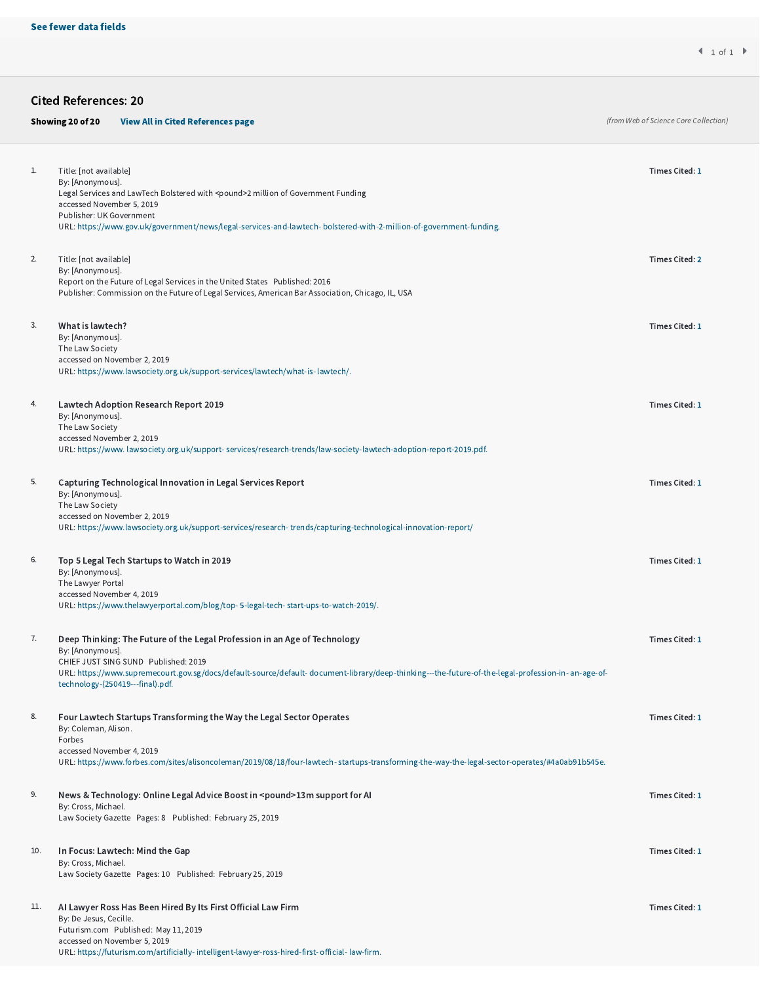Cited References: 20

# Showing 20 of 20 [View All in Cited References page](http://apps.webofknowledge.com.ezaccess.library.uitm.edu.my/summary.do?product=WOS&parentProduct=WOS&search_mode=CitedRefList&parentQid=21&parentDoc=1&qid=22&SID=D18QlF3h7xuDTjRuNEA&colName=WOS&page=1)

(from Web of Science Core Collection)

| 1.  | Title: [not available]<br>By: [Anonymous].<br>Legal Services and LawTech Bolstered with <pound>2 million of Government Funding</pound>                                                                                                                                                                                           | Times Cited: 1 |
|-----|----------------------------------------------------------------------------------------------------------------------------------------------------------------------------------------------------------------------------------------------------------------------------------------------------------------------------------|----------------|
|     | accessed November 5, 2019<br>Publisher: UK Government<br>URL: https://www.gov.uk/government/news/legal-services-and-lawtech-bolstered-with-2-million-of-government-funding.                                                                                                                                                      |                |
| 2.  | Title: [not available]<br>By: [Anonymous].<br>Report on the Future of Legal Services in the United States Published: 2016<br>Publisher: Commission on the Future of Legal Services, American Bar Association, Chicago, IL, USA                                                                                                   | Times Cited: 2 |
| 3.  | What is lawtech?<br>By: [Anonymous].<br>The Law Society<br>accessed on November 2, 2019<br>URL: https://www.lawsociety.org.uk/support-services/lawtech/what-is-lawtech/.                                                                                                                                                         | Times Cited: 1 |
| 4.  | <b>Lawtech Adoption Research Report 2019</b><br>By: [Anonymous].<br>The Law Society<br>accessed November 2, 2019<br>URL: https://www. lawsociety.org.uk/support-services/research-trends/law-society-lawtech-adoption-report-2019.pdf.                                                                                           | Times Cited: 1 |
| 5.  | Capturing Technological Innovation in Legal Services Report<br>By: [Anonymous].<br>The Law Society<br>accessed on November 2, 2019<br>URL: https://www.lawsociety.org.uk/support-services/research-trends/capturing-technological-innovation-report/                                                                             | Times Cited: 1 |
| 6.  | Top 5 Legal Tech Startups to Watch in 2019<br>By: [Anonymous].<br>The Lawyer Portal<br>accessed November 4, 2019<br>URL: https://www.thelawyerportal.com/blog/top-5-legal-tech-start-ups-to-watch-2019/.                                                                                                                         | Times Cited: 1 |
| 7.  | Deep Thinking: The Future of the Legal Profession in an Age of Technology<br>By: [Anonymous].<br>CHIEF JUST SING SUND Published: 2019<br>URL: https://www.supremecourt.gov.sg/docs/default-source/default-document-library/deep-thinking---the-future-of-the-legal-profession-in- an-age-of-<br>technology-(250419---final).pdf. | Times Cited: 1 |
| 8.  | Four Lawtech Startups Transforming the Way the Legal Sector Operates<br>By: Coleman, Alison.<br>Forbes<br>accessed November 4, 2019<br>URL: https://www.forbes.com/sites/alisoncoleman/2019/08/18/four-lawtech-startups-transforming-the-way-the-legal-sector-operates/#4a0ab91b545e.                                            | Times Cited: 1 |
| 9.  | News & Technology: Online Legal Advice Boost in <pound>13m support for AI<br/>By: Cross, Michael.<br/>Law Society Gazette Pages: 8 Published: February 25, 2019</pound>                                                                                                                                                          | Times Cited: 1 |
| 10. | In Focus: Lawtech: Mind the Gap<br>By: Cross, Michael.<br>Law Society Gazette Pages: 10 Published: February 25, 2019                                                                                                                                                                                                             | Times Cited: 1 |
| 11. | Al Lawyer Ross Has Been Hired By Its First Official Law Firm<br>By: De Jesus, Cecille.<br>Futurism.com Published: May 11, 2019<br>accessed on November 5, 2019<br>URL: https://futurism.com/artificially-intelligent-lawyer-ross-hired-first-official-law-firm.                                                                  | Times Cited: 1 |